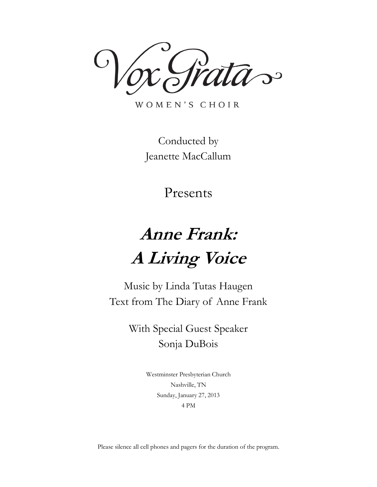ata~

WOMEN'S CHOIR

Conducted by Jeanette MacCallum

Presents

# **Anne Frank: A Living Voice**

Music by Linda Tutas Haugen Text from The Diary of Anne Frank

> With Special Guest Speaker Sonja DuBois

> > Westminster Presbyterian Church Nashville, TN Sunday, January 27, 2013 4 PM

Please silence all cell phones and pagers for the duration of the program.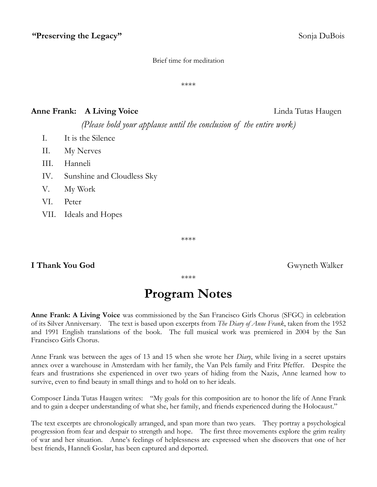#### Brief time for meditation

\*\*\*\*

#### **Anne Frank: A Living Voice** Linda Tutas Haugen

*(Please hold your applause until the conclusion of the entire work)*

- I. It is the Silence
- II. My Nerves
- III. Hanneli
- IV. Sunshine and Cloudless Sky
- V. My Work
- VI. Peter
- VII. Ideals and Hopes

\*\*\*\*

#### **I Thank You God** Gwyneth Walker

\*\*\*\*

### **Program Notes**

**Anne Frank: A Living Voice** was commissioned by the San Francisco Girls Chorus (SFGC) in celebration of its Silver Anniversary. The text is based upon excerpts from *The Diary of Anne Frank*, taken from the 1952 and 1991 English translations of the book. The full musical work was premiered in 2004 by the San Francisco Girls Chorus.

Anne Frank was between the ages of 13 and 15 when she wrote her *Diary*, while living in a secret upstairs annex over a warehouse in Amsterdam with her family, the Van Pels family and Fritz Pfeffer. Despite the fears and frustrations she experienced in over two years of hiding from the Nazis, Anne learned how to survive, even to find beauty in small things and to hold on to her ideals.

Composer Linda Tutas Haugen writes: "My goals for this composition are to honor the life of Anne Frank and to gain a deeper understanding of what she, her family, and friends experienced during the Holocaust."

The text excerpts are chronologically arranged, and span more than two years. They portray a psychological progression from fear and despair to strength and hope. The first three movements explore the grim reality of war and her situation. Anne's feelings of helplessness are expressed when she discovers that one of her best friends, Hanneli Goslar, has been captured and deported.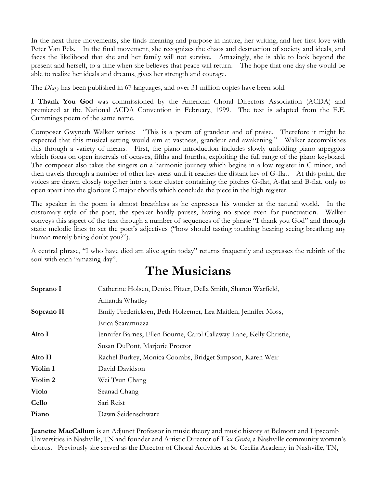In the next three movements, she finds meaning and purpose in nature, her writing, and her first love with Peter Van Pels. In the final movement, she recognizes the chaos and destruction of society and ideals, and faces the likelihood that she and her family will not survive. Amazingly, she is able to look beyond the present and herself, to a time when she believes that peace will return. The hope that one day she would be able to realize her ideals and dreams, gives her strength and courage.

The *Diary* has been published in 67 languages, and over 31 million copies have been sold.

**I Thank You God** was commissioned by the American Choral Directors Association (ACDA) and premiered at the National ACDA Convention in February, 1999. The text is adapted from the E.E. Cummings poem of the same name.

Composer Gwyneth Walker writes: "This is a poem of grandeur and of praise. Therefore it might be expected that this musical setting would aim at vastness, grandeur and awakening." Walker accomplishes this through a variety of means. First, the piano introduction includes slowly unfolding piano arpeggios which focus on open intervals of octaves, fifths and fourths, exploiting the full range of the piano keyboard. The composer also takes the singers on a harmonic journey which begins in a low register in C minor, and then travels through a number of other key areas until it reaches the distant key of G-flat. At this point, the voices are drawn closely together into a tone cluster containing the pitches G-flat, A-flat and B-flat, only to open apart into the glorious C major chords which conclude the piece in the high register.

The speaker in the poem is almost breathless as he expresses his wonder at the natural world. In the customary style of the poet, the speaker hardly pauses, having no space even for punctuation. Walker conveys this aspect of the text through a number of sequences of the phrase "I thank you God" and through static melodic lines to set the poet's adjectives ("how should tasting touching hearing seeing breathing any human merely being doubt you?").

A central phrase, "I who have died am alive again today" returns frequently and expresses the rebirth of the soul with each "amazing day".

### **The Musicians**

| Soprano I  | Catherine Holsen, Denise Pitzer, Della Smith, Sharon Warfield,      |
|------------|---------------------------------------------------------------------|
|            | Amanda Whatley                                                      |
| Soprano II | Emily Fredericksen, Beth Holzemer, Lea Maitlen, Jennifer Moss,      |
|            | Erica Scaramuzza                                                    |
| Alto I     | Jennifer Barnes, Ellen Bourne, Carol Callaway-Lane, Kelly Christie, |
|            | Susan DuPont, Marjorie Proctor                                      |
| Alto II    | Rachel Burkey, Monica Coombs, Bridget Simpson, Karen Weir           |
| Violin 1   | David Davidson                                                      |
| Violin 2   | Wei Tsun Chang                                                      |
| Viola      | Seanad Chang                                                        |
| Cello      | Sari Reist                                                          |
| Piano      | Dawn Seidenschwarz                                                  |

**Jeanette MacCallum** is an Adjunct Professor in music theory and music history at Belmont and Lipscomb Universities in Nashville, TN and founder and Artistic Director of *Vox Grata*, a Nashville community women's chorus. Previously she served as the Director of Choral Activities at St. Cecilia Academy in Nashville, TN,